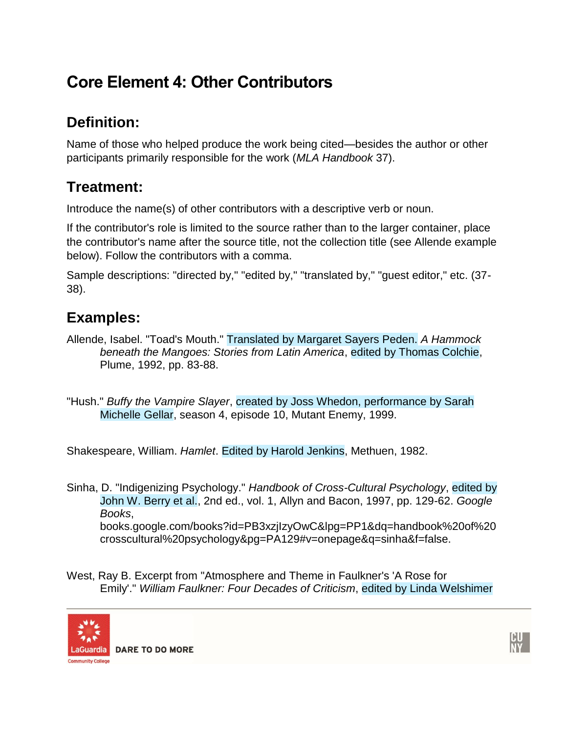## **Core Element 4: Other Contributors**

## **Definition:**

Name of those who helped produce the work being cited—besides the author or other participants primarily responsible for the work (*MLA Handbook* 37).

## **Treatment:**

Introduce the name(s) of other contributors with a descriptive verb or noun.

If the contributor's role is limited to the source rather than to the larger container, place the contributor's name after the source title, not the collection title (see Allende example below). Follow the contributors with a comma.

Sample descriptions: "directed by," "edited by," "translated by," "guest editor," etc. (37- 38).

## **Examples:**

- Allende, Isabel. "Toad's Mouth." Translated by Margaret Sayers Peden. *A Hammock beneath the Mangoes: Stories from Latin America*, edited by Thomas Colchie, Plume, 1992, pp. 83-88.
- "Hush." *Buffy the Vampire Slayer*, created by Joss Whedon, performance by Sarah Michelle Gellar, season 4, episode 10, Mutant Enemy, 1999.

Shakespeare, William. *Hamlet*. Edited by Harold Jenkins, Methuen, 1982.

Sinha, D. "Indigenizing Psychology." *Handbook of Cross-Cultural Psychology*, edited by John W. Berry et al., 2nd ed., vol. 1, Allyn and Bacon, 1997, pp. 129-62. *Google Books*, books.google.com/books?id=PB3xzjIzyOwC&lpg=PP1&dq=handbook%20of%20 crosscultural%20psychology&pg=PA129#v=onepage&q=sinha&f=false.

West, Ray B. Excerpt from "Atmosphere and Theme in Faulkner's 'A Rose for Emily'." *William Faulkner: Four Decades of Criticism*, edited by Linda Welshimer